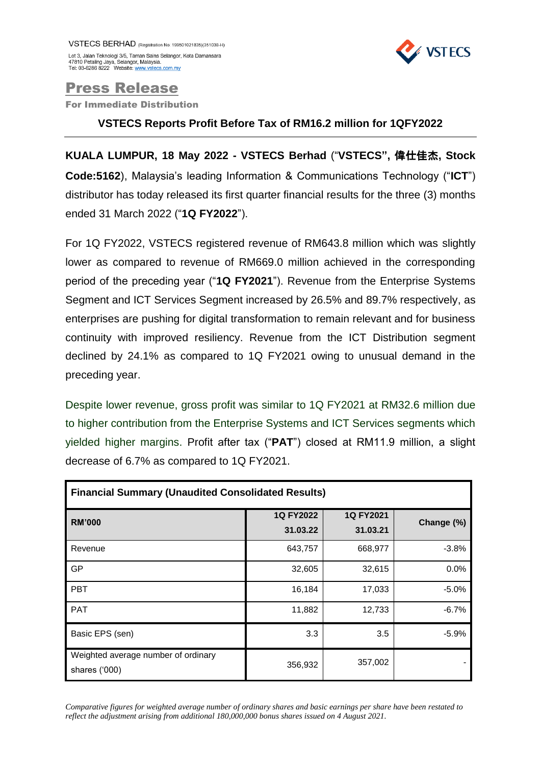

## Press Release

For Immediate Distribution

## **VSTECS Reports Profit Before Tax of RM16.2 million for 1QFY2022**

**KUALA LUMPUR, 18 May 2022 - VSTECS Berhad** ("**VSTECS",** 偉仕佳杰**, Stock Code:5162**), Malaysia's leading Information & Communications Technology ("**ICT**") distributor has today released its first quarter financial results for the three (3) months ended 31 March 2022 ("**1Q FY2022**").

For 1Q FY2022, VSTECS registered revenue of RM643.8 million which was slightly lower as compared to revenue of RM669.0 million achieved in the corresponding period of the preceding year ("**1Q FY2021**"). Revenue from the Enterprise Systems Segment and ICT Services Segment increased by 26.5% and 89.7% respectively, as enterprises are pushing for digital transformation to remain relevant and for business continuity with improved resiliency. Revenue from the ICT Distribution segment declined by 24.1% as compared to 1Q FY2021 owing to unusual demand in the preceding year.

Despite lower revenue, gross profit was similar to 1Q FY2021 at RM32.6 million due to higher contribution from the Enterprise Systems and ICT Services segments which yielded higher margins. Profit after tax ("**PAT**") closed at RM11.9 million, a slight decrease of 6.7% as compared to 1Q FY2021.

| <b>Financial Summary (Unaudited Consolidated Results)</b> |                       |                       |            |
|-----------------------------------------------------------|-----------------------|-----------------------|------------|
| <b>RM'000</b>                                             | 1Q FY2022<br>31.03.22 | 1Q FY2021<br>31.03.21 | Change (%) |
| Revenue                                                   | 643,757               | 668,977               | $-3.8%$    |
| GP                                                        | 32,605                | 32,615                | 0.0%       |
| <b>PBT</b>                                                | 16,184                | 17,033                | $-5.0%$    |
| <b>PAT</b>                                                | 11,882                | 12,733                | $-6.7%$    |
| Basic EPS (sen)                                           | 3.3                   | 3.5                   | $-5.9%$    |
| Weighted average number of ordinary<br>shares ('000)      | 356,932               | 357,002               |            |

*Comparative figures for weighted average number of ordinary shares and basic earnings per share have been restated to reflect the adjustment arising from additional 180,000,000 bonus shares issued on 4 August 2021.*